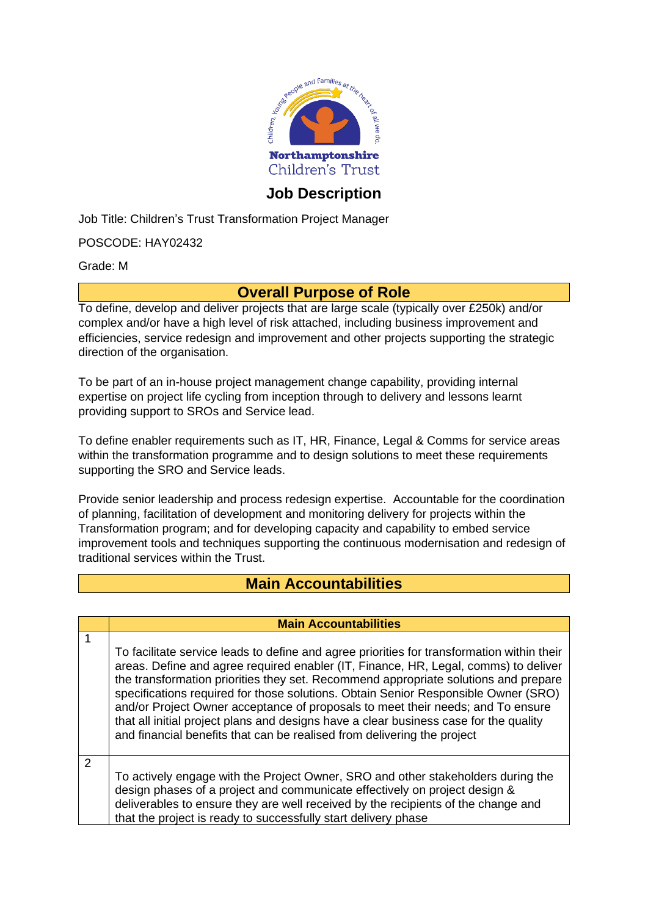

## **Job Description**

Job Title: Children's Trust Transformation Project Manager

POSCODE: HAY02432

Grade: M

### **Overall Purpose of Role**

To define, develop and deliver projects that are large scale (typically over £250k) and/or complex and/or have a high level of risk attached, including business improvement and efficiencies, service redesign and improvement and other projects supporting the strategic direction of the organisation.

To be part of an in-house project management change capability, providing internal expertise on project life cycling from inception through to delivery and lessons learnt providing support to SROs and Service lead.

To define enabler requirements such as IT, HR, Finance, Legal & Comms for service areas within the transformation programme and to design solutions to meet these requirements supporting the SRO and Service leads.

Provide senior leadership and process redesign expertise. Accountable for the coordination of planning, facilitation of development and monitoring delivery for projects within the Transformation program; and for developing capacity and capability to embed service improvement tools and techniques supporting the continuous modernisation and redesign of traditional services within the Trust.

### **Main Accountabilities**

#### **Main Accountabilities**

To facilitate service leads to define and agree priorities for transformation within their areas. Define and agree required enabler (IT, Finance, HR, Legal, comms) to deliver the transformation priorities they set. Recommend appropriate solutions and prepare specifications required for those solutions. Obtain Senior Responsible Owner (SRO) and/or Project Owner acceptance of proposals to meet their needs; and To ensure that all initial project plans and designs have a clear business case for the quality and financial benefits that can be realised from delivering the project

2

1

To actively engage with the Project Owner, SRO and other stakeholders during the design phases of a project and communicate effectively on project design & deliverables to ensure they are well received by the recipients of the change and that the project is ready to successfully start delivery phase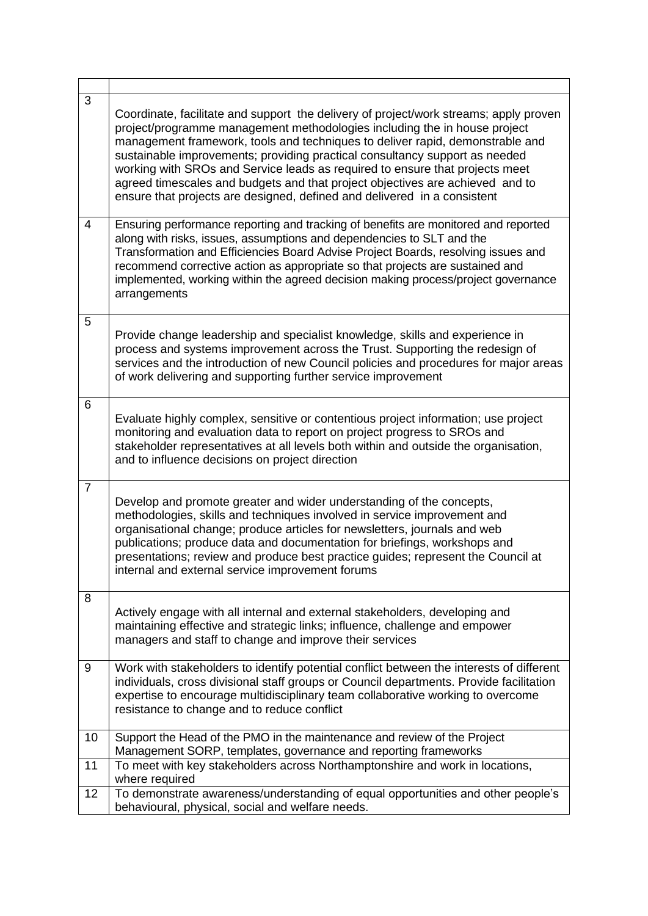| 3              |                                                                                                                                                                                                                                                                                                                                                                                                                                                                                                                                                                                 |
|----------------|---------------------------------------------------------------------------------------------------------------------------------------------------------------------------------------------------------------------------------------------------------------------------------------------------------------------------------------------------------------------------------------------------------------------------------------------------------------------------------------------------------------------------------------------------------------------------------|
|                | Coordinate, facilitate and support the delivery of project/work streams; apply proven<br>project/programme management methodologies including the in house project<br>management framework, tools and techniques to deliver rapid, demonstrable and<br>sustainable improvements; providing practical consultancy support as needed<br>working with SROs and Service leads as required to ensure that projects meet<br>agreed timescales and budgets and that project objectives are achieved and to<br>ensure that projects are designed, defined and delivered in a consistent |
| 4              | Ensuring performance reporting and tracking of benefits are monitored and reported<br>along with risks, issues, assumptions and dependencies to SLT and the<br>Transformation and Efficiencies Board Advise Project Boards, resolving issues and<br>recommend corrective action as appropriate so that projects are sustained and<br>implemented, working within the agreed decision making process/project governance<br>arrangements                                                                                                                                          |
| 5              | Provide change leadership and specialist knowledge, skills and experience in<br>process and systems improvement across the Trust. Supporting the redesign of<br>services and the introduction of new Council policies and procedures for major areas<br>of work delivering and supporting further service improvement                                                                                                                                                                                                                                                           |
| 6              | Evaluate highly complex, sensitive or contentious project information; use project<br>monitoring and evaluation data to report on project progress to SROs and<br>stakeholder representatives at all levels both within and outside the organisation,<br>and to influence decisions on project direction                                                                                                                                                                                                                                                                        |
| $\overline{7}$ | Develop and promote greater and wider understanding of the concepts,<br>methodologies, skills and techniques involved in service improvement and<br>organisational change; produce articles for newsletters, journals and web<br>publications; produce data and documentation for briefings, workshops and<br>presentations; review and produce best practice guides; represent the Council at<br>internal and external service improvement forums                                                                                                                              |
| 8              | Actively engage with all internal and external stakeholders, developing and<br>maintaining effective and strategic links; influence, challenge and empower<br>managers and staff to change and improve their services                                                                                                                                                                                                                                                                                                                                                           |
| 9              | Work with stakeholders to identify potential conflict between the interests of different<br>individuals, cross divisional staff groups or Council departments. Provide facilitation<br>expertise to encourage multidisciplinary team collaborative working to overcome<br>resistance to change and to reduce conflict                                                                                                                                                                                                                                                           |
| 10             | Support the Head of the PMO in the maintenance and review of the Project<br>Management SORP, templates, governance and reporting frameworks                                                                                                                                                                                                                                                                                                                                                                                                                                     |
| 11             | To meet with key stakeholders across Northamptonshire and work in locations,<br>where required                                                                                                                                                                                                                                                                                                                                                                                                                                                                                  |
| 12             | To demonstrate awareness/understanding of equal opportunities and other people's<br>behavioural, physical, social and welfare needs.                                                                                                                                                                                                                                                                                                                                                                                                                                            |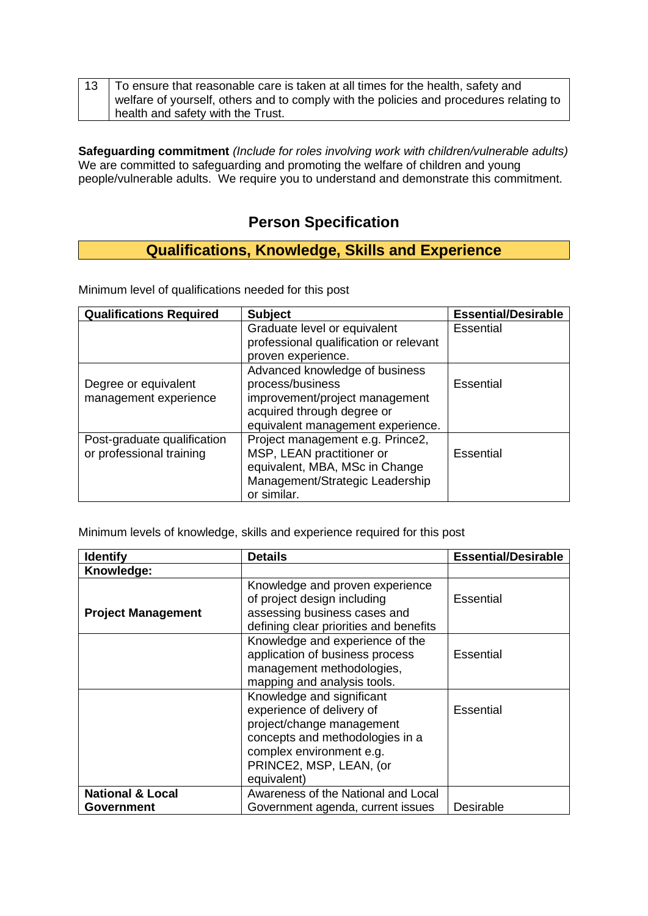| 13   To ensure that reasonable care is taken at all times for the health, safety and   |
|----------------------------------------------------------------------------------------|
| welfare of yourself, others and to comply with the policies and procedures relating to |
| health and safety with the Trust.                                                      |

**Safeguarding commitment** *(Include for roles involving work with children/vulnerable adults)* We are committed to safeguarding and promoting the welfare of children and young people/vulnerable adults. We require you to understand and demonstrate this commitment.

## **Person Specification**

# **Qualifications, Knowledge, Skills and Experience**

Minimum level of qualifications needed for this post

| <b>Qualifications Required</b> | <b>Subject</b>                         | <b>Essential/Desirable</b> |
|--------------------------------|----------------------------------------|----------------------------|
|                                | Graduate level or equivalent           | <b>Essential</b>           |
|                                | professional qualification or relevant |                            |
|                                | proven experience.                     |                            |
|                                | Advanced knowledge of business         |                            |
| Degree or equivalent           | process/business                       | Essential                  |
| management experience          | improvement/project management         |                            |
|                                | acquired through degree or             |                            |
|                                | equivalent management experience.      |                            |
| Post-graduate qualification    | Project management e.g. Prince2,       |                            |
| or professional training       | MSP, LEAN practitioner or              | <b>Essential</b>           |
|                                | equivalent, MBA, MSc in Change         |                            |
|                                | Management/Strategic Leadership        |                            |
|                                | or similar.                            |                            |

Minimum levels of knowledge, skills and experience required for this post

| <b>Identify</b>             | <b>Details</b>                                                                                                                                                                               | <b>Essential/Desirable</b> |
|-----------------------------|----------------------------------------------------------------------------------------------------------------------------------------------------------------------------------------------|----------------------------|
| Knowledge:                  |                                                                                                                                                                                              |                            |
| <b>Project Management</b>   | Knowledge and proven experience<br>of project design including<br>assessing business cases and<br>defining clear priorities and benefits                                                     | Essential                  |
|                             | Knowledge and experience of the<br>application of business process<br>management methodologies,<br>mapping and analysis tools.                                                               | Essential                  |
|                             | Knowledge and significant<br>experience of delivery of<br>project/change management<br>concepts and methodologies in a<br>complex environment e.g.<br>PRINCE2, MSP, LEAN, (or<br>equivalent) | Essential                  |
| <b>National &amp; Local</b> | Awareness of the National and Local                                                                                                                                                          |                            |
| <b>Government</b>           | Government agenda, current issues                                                                                                                                                            | Desirable                  |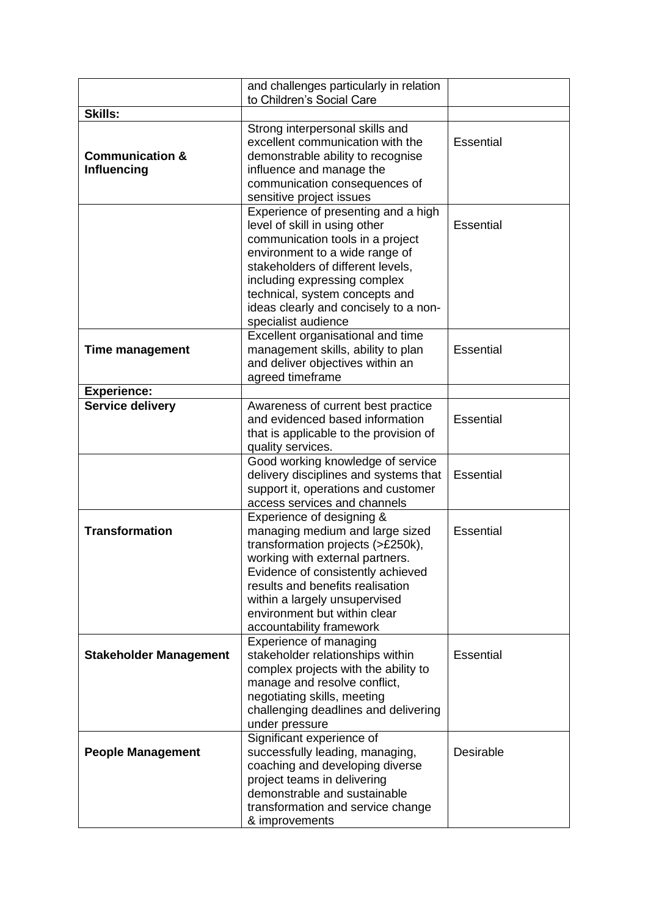|                               | and challenges particularly in relation |                  |
|-------------------------------|-----------------------------------------|------------------|
|                               | to Children's Social Care               |                  |
| <b>Skills:</b>                |                                         |                  |
|                               | Strong interpersonal skills and         |                  |
|                               | excellent communication with the        | Essential        |
| <b>Communication &amp;</b>    | demonstrable ability to recognise       |                  |
| <b>Influencing</b>            | influence and manage the                |                  |
|                               | communication consequences of           |                  |
|                               | sensitive project issues                |                  |
|                               | Experience of presenting and a high     |                  |
|                               | level of skill in using other           | Essential        |
|                               | communication tools in a project        |                  |
|                               | environment to a wide range of          |                  |
|                               | stakeholders of different levels,       |                  |
|                               | including expressing complex            |                  |
|                               | technical, system concepts and          |                  |
|                               | ideas clearly and concisely to a non-   |                  |
|                               | specialist audience                     |                  |
|                               | Excellent organisational and time       |                  |
| Time management               | management skills, ability to plan      | <b>Essential</b> |
|                               | and deliver objectives within an        |                  |
|                               | agreed timeframe                        |                  |
| <b>Experience:</b>            |                                         |                  |
| <b>Service delivery</b>       | Awareness of current best practice      |                  |
|                               | and evidenced based information         | <b>Essential</b> |
|                               | that is applicable to the provision of  |                  |
|                               | quality services.                       |                  |
|                               | Good working knowledge of service       |                  |
|                               | delivery disciplines and systems that   | <b>Essential</b> |
|                               | support it, operations and customer     |                  |
|                               | access services and channels            |                  |
|                               | Experience of designing &               |                  |
| <b>Transformation</b>         | managing medium and large sized         | <b>Essential</b> |
|                               | transformation projects (>£250k),       |                  |
|                               | working with external partners.         |                  |
|                               | Evidence of consistently achieved       |                  |
|                               | results and benefits realisation        |                  |
|                               | within a largely unsupervised           |                  |
|                               | environment but within clear            |                  |
|                               | accountability framework                |                  |
|                               | Experience of managing                  |                  |
| <b>Stakeholder Management</b> | stakeholder relationships within        | <b>Essential</b> |
|                               | complex projects with the ability to    |                  |
|                               | manage and resolve conflict,            |                  |
|                               | negotiating skills, meeting             |                  |
|                               | challenging deadlines and delivering    |                  |
|                               | under pressure                          |                  |
|                               | Significant experience of               |                  |
| <b>People Management</b>      | successfully leading, managing,         | Desirable        |
|                               | coaching and developing diverse         |                  |
|                               | project teams in delivering             |                  |
|                               | demonstrable and sustainable            |                  |
|                               | transformation and service change       |                  |
|                               | & improvements                          |                  |